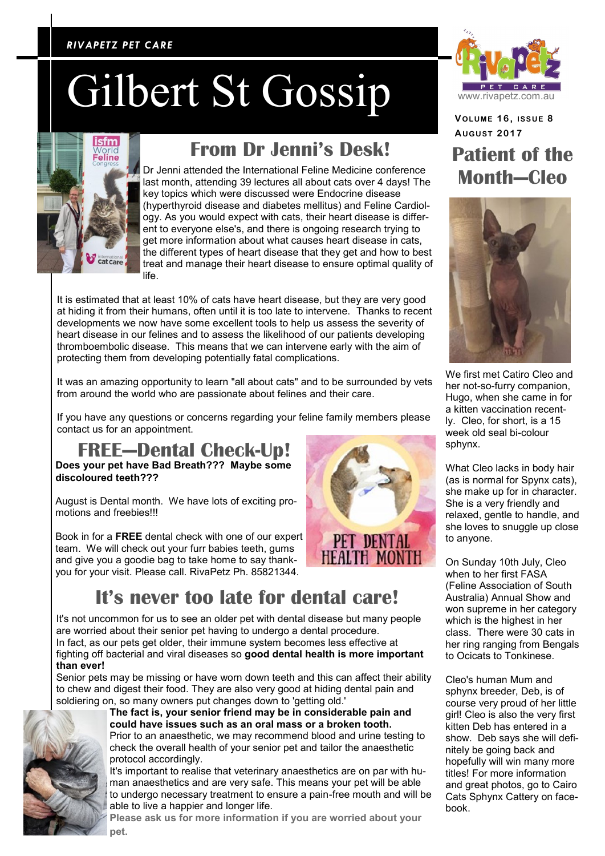#### *RIVAPETZ PET CARE RIVAPETZ PET CARE*

## Gilbert St Gossip



### **From Dr Jenni's Desk!**

Dr Jenni attended the International Feline Medicine conference last month, attending 39 lectures all about cats over 4 days! The key topics which were discussed were Endocrine disease (hyperthyroid disease and diabetes mellitus) and Feline Cardiology. As you would expect with cats, their heart disease is different to everyone else's, and there is ongoing research trying to get more information about what causes heart disease in cats, the different types of heart disease that they get and how to best treat and manage their heart disease to ensure optimal quality of life.

It is estimated that at least 10% of cats have heart disease, but they are very good at hiding it from their humans, often until it is too late to intervene. Thanks to recent developments we now have some excellent tools to help us assess the severity of heart disease in our felines and to assess the likelihood of our patients developing thromboembolic disease. This means that we can intervene early with the aim of protecting them from developing potentially fatal complications.

It was an amazing opportunity to learn "all about cats" and to be surrounded by vets from around the world who are passionate about felines and their care.

If you have any questions or concerns regarding your feline family members please contact us for an appointment.

#### **FREE—Dental Check-Up! Does your pet have Bad Breath??? Maybe some**

**discoloured teeth???**

August is Dental month. We have lots of exciting promotions and freebies!!!

Book in for a **FREE** dental check with one of our expert team. We will check out your furr babies teeth, gums and give you a goodie bag to take home to say thankyou for your visit. Please call. RivaPetz Ph. 85821344.

#### **It's never too late for dental care!**

It's not uncommon for us to see an older pet with dental disease but many people are worried about their senior pet having to undergo a dental procedure. In fact, as our pets get older, their immune system becomes less effective at fighting off bacterial and viral diseases so **good dental health is more important than ever!**

Senior pets may be missing or have worn down teeth and this can affect their ability to chew and digest their food. They are also very good at hiding dental pain and soldiering on, so many owners put changes down to 'getting old.'



**The fact is, your senior friend may be in considerable pain and could have issues such as an oral mass or a broken tooth.** Prior to an anaesthetic, we may recommend blood and urine testing to check the overall health of your senior pet and tailor the anaesthetic

protocol accordingly. It's important to realise that veterinary anaesthetics are on par with human anaesthetics and are very safe. This means your pet will be able

to undergo necessary treatment to ensure a pain-free mouth and will be able to live a happier and longer life.

**Please ask us for more information if you are worried about your pet.**





**VOLUME 1 6 , ISSUE 8 AUGUST 2 01 7**

### **Patient of the Month—Cleo**



We first met Catiro Cleo and her not-so-furry companion, Hugo, when she came in for a kitten vaccination recently. Cleo, for short, is a 15 week old seal bi-colour sphynx.

What Cleo lacks in body hair (as is normal for Spynx cats), she make up for in character. She is a very friendly and relaxed, gentle to handle, and she loves to snuggle up close to anyone.

On Sunday 10th July, Cleo when to her first FASA (Feline Association of South Australia) Annual Show and won supreme in her category which is the highest in her class. There were 30 cats in her ring ranging from Bengals to Ocicats to Tonkinese.

Cleo's human Mum and sphynx breeder, Deb, is of course very proud of her little girl! Cleo is also the very first kitten Deb has entered in a show. Deb says she will definitely be going back and hopefully will win many more titles! For more information and great photos, go to Cairo Cats Sphynx Cattery on facebook.